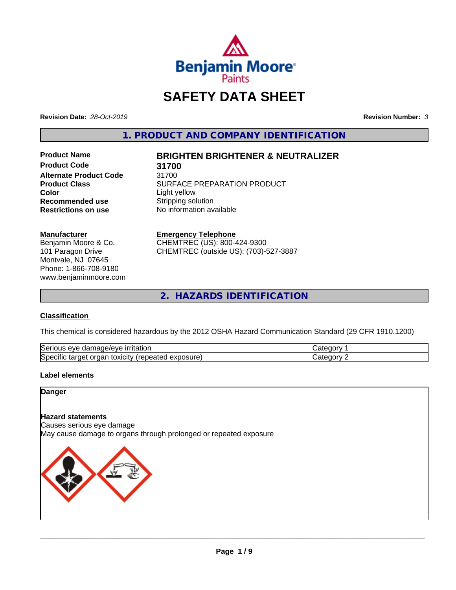

# **SAFETY DATA SHEET**

**Revision Date:** *28-Oct-2019* **Revision Number:** *3*

**1. PRODUCT AND COMPANY IDENTIFICATION**

**Product Code 31700 Alternate Product Code** 31700<br>Product Class **Communist CODE Color**<br> **Recommended use**<br> **Recommended use**<br> **Color**<br> **Color**<br> **Color**<br> **Color**<br> **Color**<br> **Color**<br> **Color**<br> **Color**<br> **Color Recommended use**<br>Restrictions on use

# **Product Name BRIGHTEN BRIGHTENER & NEUTRALIZER**

**SURFACE PREPARATION PRODUCT No information available** 

#### **Manufacturer**

Benjamin Moore & Co. 101 Paragon Drive Montvale, NJ 07645 Phone: 1-866-708-9180 www.benjaminmoore.com

# **Emergency Telephone**

CHEMTREC (US): 800-424-9300 CHEMTREC (outside US): (703)-527-3887

**2. HAZARDS IDENTIFICATION**

### **Classification**

This chemical is considered hazardous by the 2012 OSHA Hazard Communication Standard (29 CFR 1910.1200)

| Serious<br><u>ırrıtatıon</u><br>eve<br>damade/eve                            |      |
|------------------------------------------------------------------------------|------|
| Specific<br>exposure)<br>.<br>target<br>organ<br>τοχιςιτν<br>repe.<br>veated | 10 H |

#### **Label elements**

**Danger**

#### **Hazard statements**

Causes serious eye damage May cause damage to organs through prolonged or repeated exposure

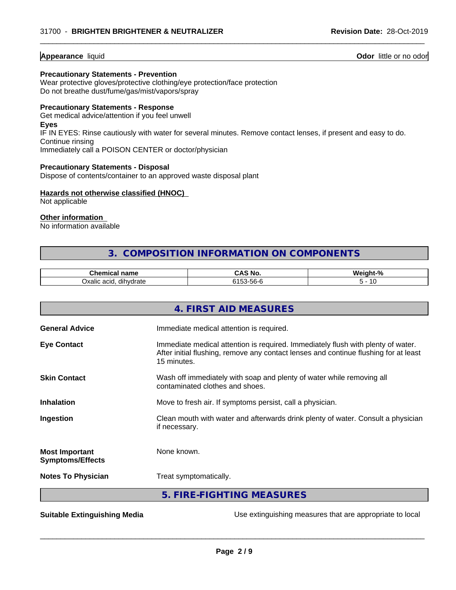#### **Appearance** liquid **Odor** little or no odor

#### **Precautionary Statements - Prevention**

Wear protective gloves/protective clothing/eye protection/face protection Do not breathe dust/fume/gas/mist/vapors/spray

### **Precautionary Statements - Response**

Get medical advice/attention if you feel unwell **Eyes** IF IN EYES: Rinse cautiously with water for several minutes. Remove contact lenses, if present and easy to do. Continue rinsing Immediately call a POISON CENTER or doctor/physician

 $\overline{\phantom{a}}$  ,  $\overline{\phantom{a}}$  ,  $\overline{\phantom{a}}$  ,  $\overline{\phantom{a}}$  ,  $\overline{\phantom{a}}$  ,  $\overline{\phantom{a}}$  ,  $\overline{\phantom{a}}$  ,  $\overline{\phantom{a}}$  ,  $\overline{\phantom{a}}$  ,  $\overline{\phantom{a}}$  ,  $\overline{\phantom{a}}$  ,  $\overline{\phantom{a}}$  ,  $\overline{\phantom{a}}$  ,  $\overline{\phantom{a}}$  ,  $\overline{\phantom{a}}$  ,  $\overline{\phantom{a}}$ 

#### **Precautionary Statements - Disposal**

Dispose of contents/container to an approved waste disposal plant

#### **Hazards not otherwise classified (HNOC)**

Not applicable

## **Other information**

No information available

# **3. COMPOSITION INFORMATION ON COMPONENTS**

| Chemical<br>name                | -<br>NI.<br>טוו<br>ີ | .<br>unr<br>4 H S<br>$\sqrt{2}$ |
|---------------------------------|----------------------|---------------------------------|
| <br>acıd<br>dihvdrate<br>Oxalic | ו-חר<br>JU.          |                                 |

|                                                  | 4. FIRST AID MEASURES                                                                                                                                                                                                                        |
|--------------------------------------------------|----------------------------------------------------------------------------------------------------------------------------------------------------------------------------------------------------------------------------------------------|
| <b>General Advice</b>                            | Immediate medical attention is required.                                                                                                                                                                                                     |
| <b>Eye Contact</b>                               | Immediate medical attention is required. Immediately flush with plenty of water.<br>After initial flushing, remove any contact lenses and continue flushing for at least<br>15 minutes.                                                      |
| <b>Skin Contact</b>                              | Wash off immediately with soap and plenty of water while removing all<br>contaminated clothes and shoes.                                                                                                                                     |
| <b>Inhalation</b>                                | Move to fresh air. If symptoms persist, call a physician.                                                                                                                                                                                    |
| Ingestion                                        | Clean mouth with water and afterwards drink plenty of water. Consult a physician<br>if necessary.                                                                                                                                            |
| <b>Most Important</b><br><b>Symptoms/Effects</b> | None known.                                                                                                                                                                                                                                  |
| <b>Notes To Physician</b>                        | Treat symptomatically.                                                                                                                                                                                                                       |
|                                                  | 5. FIRE-FIGHTING MEASURES                                                                                                                                                                                                                    |
|                                                  | $\mathbf{u} = \mathbf{u} - \mathbf{u}$ , and the contract of the contract of the contract of the contract of the contract of the contract of the contract of the contract of the contract of the contract of the contract of the contract of |

**Suitable Extinguishing Media** Media Use extinguishing measures that are appropriate to local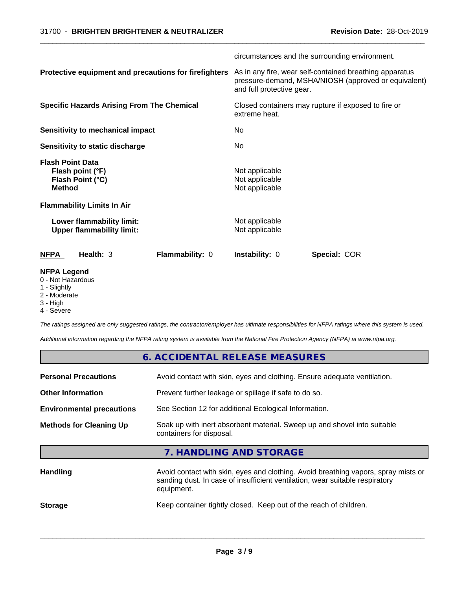|                                                                                  | circumstances and the surrounding environment.                                                                                               |  |
|----------------------------------------------------------------------------------|----------------------------------------------------------------------------------------------------------------------------------------------|--|
| Protective equipment and precautions for firefighters                            | As in any fire, wear self-contained breathing apparatus<br>pressure-demand, MSHA/NIOSH (approved or equivalent)<br>and full protective gear. |  |
| <b>Specific Hazards Arising From The Chemical</b>                                | Closed containers may rupture if exposed to fire or<br>extreme heat.                                                                         |  |
| <b>Sensitivity to mechanical impact</b>                                          | No.                                                                                                                                          |  |
| Sensitivity to static discharge                                                  | No.                                                                                                                                          |  |
| <b>Flash Point Data</b><br>Flash point (°F)<br>Flash Point (°C)<br><b>Method</b> | Not applicable<br>Not applicable<br>Not applicable                                                                                           |  |
| <b>Flammability Limits In Air</b>                                                |                                                                                                                                              |  |
| Lower flammability limit:<br><b>Upper flammability limit:</b>                    | Not applicable<br>Not applicable                                                                                                             |  |
| <b>NFPA</b><br>Health: 3<br>Flammability: 0                                      | Instability: 0<br>Special: COR                                                                                                               |  |
| <b>NFPA Legend</b><br>0 - Not Hazardous                                          |                                                                                                                                              |  |

 $\overline{\phantom{a}}$  ,  $\overline{\phantom{a}}$  ,  $\overline{\phantom{a}}$  ,  $\overline{\phantom{a}}$  ,  $\overline{\phantom{a}}$  ,  $\overline{\phantom{a}}$  ,  $\overline{\phantom{a}}$  ,  $\overline{\phantom{a}}$  ,  $\overline{\phantom{a}}$  ,  $\overline{\phantom{a}}$  ,  $\overline{\phantom{a}}$  ,  $\overline{\phantom{a}}$  ,  $\overline{\phantom{a}}$  ,  $\overline{\phantom{a}}$  ,  $\overline{\phantom{a}}$  ,  $\overline{\phantom{a}}$ 

- 
- 1 Slightly
- 2 Moderate
- 3 High
- 4 Severe

*The ratings assigned are only suggested ratings, the contractor/employer has ultimate responsibilities for NFPA ratings where this system is used.*

*Additional information regarding the NFPA rating system is available from the National Fire Protection Agency (NFPA) at www.nfpa.org.*

| 6. ACCIDENTAL RELEASE MEASURES                                                                                                                                                   |
|----------------------------------------------------------------------------------------------------------------------------------------------------------------------------------|
| Avoid contact with skin, eyes and clothing. Ensure adequate ventilation.                                                                                                         |
| Prevent further leakage or spillage if safe to do so.                                                                                                                            |
| See Section 12 for additional Ecological Information.                                                                                                                            |
| Soak up with inert absorbent material. Sweep up and shovel into suitable<br>containers for disposal.                                                                             |
| 7. HANDLING AND STORAGE                                                                                                                                                          |
| Avoid contact with skin, eyes and clothing. Avoid breathing vapors, spray mists or<br>sanding dust. In case of insufficient ventilation, wear suitable respiratory<br>equipment. |
|                                                                                                                                                                                  |

 $\overline{\phantom{a}}$  ,  $\overline{\phantom{a}}$  ,  $\overline{\phantom{a}}$  ,  $\overline{\phantom{a}}$  ,  $\overline{\phantom{a}}$  ,  $\overline{\phantom{a}}$  ,  $\overline{\phantom{a}}$  ,  $\overline{\phantom{a}}$  ,  $\overline{\phantom{a}}$  ,  $\overline{\phantom{a}}$  ,  $\overline{\phantom{a}}$  ,  $\overline{\phantom{a}}$  ,  $\overline{\phantom{a}}$  ,  $\overline{\phantom{a}}$  ,  $\overline{\phantom{a}}$  ,  $\overline{\phantom{a}}$ 

**Storage** Keep container tightly closed. Keep out of the reach of children.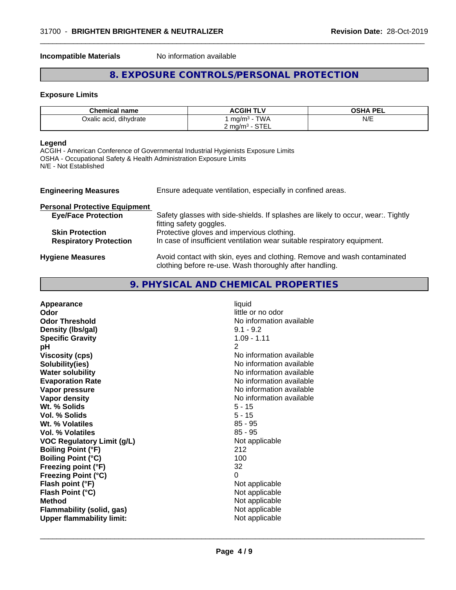**Incompatible Materials** No information available

# **8. EXPOSURE CONTROLS/PERSONAL PROTECTION**

 $\overline{\phantom{a}}$  ,  $\overline{\phantom{a}}$  ,  $\overline{\phantom{a}}$  ,  $\overline{\phantom{a}}$  ,  $\overline{\phantom{a}}$  ,  $\overline{\phantom{a}}$  ,  $\overline{\phantom{a}}$  ,  $\overline{\phantom{a}}$  ,  $\overline{\phantom{a}}$  ,  $\overline{\phantom{a}}$  ,  $\overline{\phantom{a}}$  ,  $\overline{\phantom{a}}$  ,  $\overline{\phantom{a}}$  ,  $\overline{\phantom{a}}$  ,  $\overline{\phantom{a}}$  ,  $\overline{\phantom{a}}$ 

#### **Exposure Limits**

| <b>Chemical name</b>   | <b>ACGIH TLV</b>                                               | OSHA PEL |
|------------------------|----------------------------------------------------------------|----------|
| Oxalic acid, dihydrate | <b>TWA</b><br>mg/m <sup>3</sup>                                | N/E      |
|                        | $\cap$ T $\cap$<br>$\angle$ mg/m <sup>3</sup> - $\degree$<br>. |          |

#### **Legend**

ACGIH - American Conference of Governmental Industrial Hygienists Exposure Limits OSHA - Occupational Safety & Health Administration Exposure Limits N/E - Not Established

| <b>Engineering Measures</b>          | Ensure adequate ventilation, especially in confined areas.                                                                          |
|--------------------------------------|-------------------------------------------------------------------------------------------------------------------------------------|
| <b>Personal Protective Equipment</b> |                                                                                                                                     |
| <b>Eye/Face Protection</b>           | Safety glasses with side-shields. If splashes are likely to occur, wear:. Tightly<br>fitting safety goggles.                        |
| <b>Skin Protection</b>               | Protective gloves and impervious clothing.                                                                                          |
| <b>Respiratory Protection</b>        | In case of insufficient ventilation wear suitable respiratory equipment.                                                            |
| <b>Hygiene Measures</b>              | Avoid contact with skin, eyes and clothing. Remove and wash contaminated<br>clothing before re-use. Wash thoroughly after handling. |

# **9. PHYSICAL AND CHEMICAL PROPERTIES**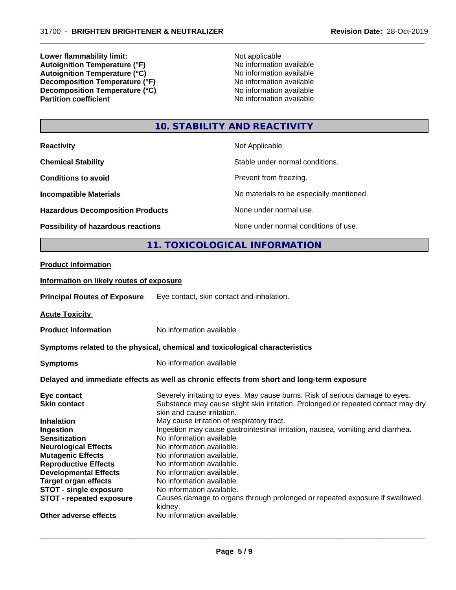**Lower flammability limit:**<br> **Autoignition Temperature (°F)**<br>
Mo information available **Autoignition Temperature (°F)** No information available **Autoignition Temperature (°C)** No information available **Decomposition Temperature (°F)**<br> **Decomposition Temperature (°C)**<br>
No information available<br>
No information available **Decomposition Temperature**  $\hat{c}$ **<sup>o</sup>C**)<br>**Partition coefficient** 

**No information available** 

 $\overline{\phantom{a}}$  ,  $\overline{\phantom{a}}$  ,  $\overline{\phantom{a}}$  ,  $\overline{\phantom{a}}$  ,  $\overline{\phantom{a}}$  ,  $\overline{\phantom{a}}$  ,  $\overline{\phantom{a}}$  ,  $\overline{\phantom{a}}$  ,  $\overline{\phantom{a}}$  ,  $\overline{\phantom{a}}$  ,  $\overline{\phantom{a}}$  ,  $\overline{\phantom{a}}$  ,  $\overline{\phantom{a}}$  ,  $\overline{\phantom{a}}$  ,  $\overline{\phantom{a}}$  ,  $\overline{\phantom{a}}$ 

# **10. STABILITY AND REACTIVITY**

| <b>Reactivity</b>                                                            |                                                                                                                               | Not Applicable                                                                             |
|------------------------------------------------------------------------------|-------------------------------------------------------------------------------------------------------------------------------|--------------------------------------------------------------------------------------------|
| <b>Chemical Stability</b>                                                    |                                                                                                                               | Stable under normal conditions.                                                            |
| <b>Conditions to avoid</b>                                                   |                                                                                                                               | Prevent from freezing.                                                                     |
| <b>Incompatible Materials</b>                                                |                                                                                                                               | No materials to be especially mentioned.                                                   |
| <b>Hazardous Decomposition Products</b>                                      |                                                                                                                               | None under normal use.                                                                     |
| Possibility of hazardous reactions                                           |                                                                                                                               | None under normal conditions of use.                                                       |
|                                                                              |                                                                                                                               | 11. TOXICOLOGICAL INFORMATION                                                              |
| <b>Product Information</b>                                                   |                                                                                                                               |                                                                                            |
|                                                                              |                                                                                                                               |                                                                                            |
| Information on likely routes of exposure                                     |                                                                                                                               |                                                                                            |
| <b>Principal Routes of Exposure</b>                                          | Eye contact, skin contact and inhalation.                                                                                     |                                                                                            |
| <b>Acute Toxicity</b>                                                        |                                                                                                                               |                                                                                            |
| <b>Product Information</b>                                                   | No information available                                                                                                      |                                                                                            |
| Symptoms related to the physical, chemical and toxicological characteristics |                                                                                                                               |                                                                                            |
| <b>Symptoms</b>                                                              | No information available                                                                                                      |                                                                                            |
|                                                                              |                                                                                                                               | Delayed and immediate effects as well as chronic effects from short and long-term exposure |
| Eye contact                                                                  |                                                                                                                               | Severely irritating to eyes. May cause burns. Risk of serious damage to eyes.              |
| <b>Skin contact</b>                                                          | skin and cause irritation.                                                                                                    | Substance may cause slight skin irritation. Prolonged or repeated contact may dry          |
| <b>Inhalation</b>                                                            |                                                                                                                               |                                                                                            |
| Ingestion                                                                    | May cause irritation of respiratory tract.<br>Ingestion may cause gastrointestinal irritation, nausea, vomiting and diarrhea. |                                                                                            |
| <b>Sensitization</b>                                                         | No information available                                                                                                      |                                                                                            |
| <b>Neurological Effects</b>                                                  | No information available.                                                                                                     |                                                                                            |
| <b>Mutagenic Effects</b>                                                     | No information available.                                                                                                     |                                                                                            |
| <b>Reproductive Effects</b>                                                  | No information available.                                                                                                     |                                                                                            |
| <b>Developmental Effects</b>                                                 | No information available.                                                                                                     |                                                                                            |
| <b>Target organ effects</b>                                                  | No information available.                                                                                                     |                                                                                            |
| <b>STOT - single exposure</b>                                                | No information available.                                                                                                     |                                                                                            |
| <b>STOT - repeated exposure</b>                                              | kidney.                                                                                                                       | Causes damage to organs through prolonged or repeated exposure if swallowed.               |
| Other adverse effects                                                        | No information available.                                                                                                     |                                                                                            |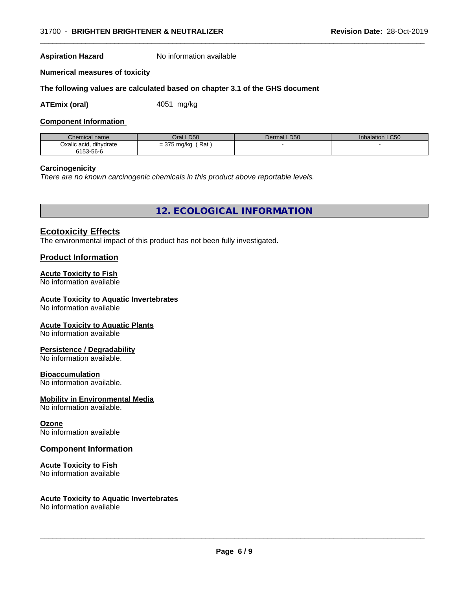#### **Aspiration Hazard** No information available

#### **Numerical measures of toxicity**

#### **The following values are calculated based on chapter 3.1 of the GHS document**

**ATEmix (oral)** 4051 mg/kg

#### **Component Information**

| Chemical name          | Oral LD50            | Dermal LD50 | Inhalation LC50 |
|------------------------|----------------------|-------------|-----------------|
| Oxalic acid, dihydrate | Rat<br>$= 375$ mg/kg |             |                 |
| 6153-56-6              |                      |             |                 |

 $\overline{\phantom{a}}$  ,  $\overline{\phantom{a}}$  ,  $\overline{\phantom{a}}$  ,  $\overline{\phantom{a}}$  ,  $\overline{\phantom{a}}$  ,  $\overline{\phantom{a}}$  ,  $\overline{\phantom{a}}$  ,  $\overline{\phantom{a}}$  ,  $\overline{\phantom{a}}$  ,  $\overline{\phantom{a}}$  ,  $\overline{\phantom{a}}$  ,  $\overline{\phantom{a}}$  ,  $\overline{\phantom{a}}$  ,  $\overline{\phantom{a}}$  ,  $\overline{\phantom{a}}$  ,  $\overline{\phantom{a}}$ 

#### **Carcinogenicity**

*There are no known carcinogenic chemicals in this product above reportable levels.*

**12. ECOLOGICAL INFORMATION**

### **Ecotoxicity Effects**

The environmental impact of this product has not been fully investigated.

#### **Product Information**

#### **Acute Toxicity to Fish**

No information available

## **Acute Toxicity to Aquatic Invertebrates**

No information available

#### **Acute Toxicity to Aquatic Plants**

No information available

#### **Persistence / Degradability**

No information available.

#### **Bioaccumulation**

No information available.

#### **Mobility in Environmental Media**

No information available.

#### **Ozone**

No information available

#### **Component Information**

#### **Acute Toxicity to Fish**

No information available

#### **Acute Toxicity to Aquatic Invertebrates**

No information available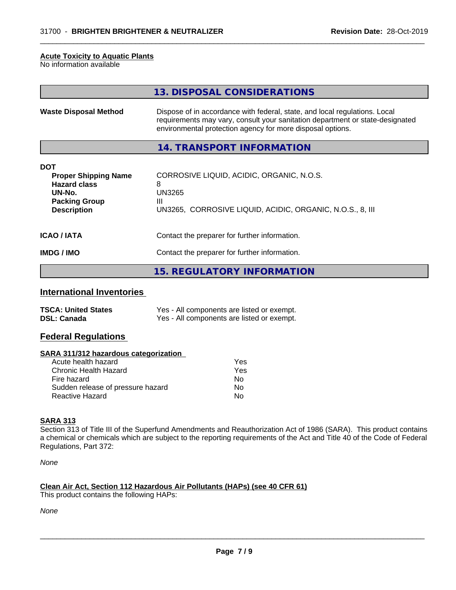#### **Acute Toxicity to Aquatic Plants**

No information available

|                                                                                                                          | 13. DISPOSAL CONSIDERATIONS                                                                                                                                                                                               |
|--------------------------------------------------------------------------------------------------------------------------|---------------------------------------------------------------------------------------------------------------------------------------------------------------------------------------------------------------------------|
| <b>Waste Disposal Method</b>                                                                                             | Dispose of in accordance with federal, state, and local regulations. Local<br>requirements may vary, consult your sanitation department or state-designated<br>environmental protection agency for more disposal options. |
|                                                                                                                          | 14. TRANSPORT INFORMATION                                                                                                                                                                                                 |
| <b>DOT</b><br><b>Proper Shipping Name</b><br><b>Hazard class</b><br>UN-No.<br><b>Packing Group</b><br><b>Description</b> | CORROSIVE LIQUID, ACIDIC, ORGANIC, N.O.S.<br>8<br><b>UN3265</b><br>Ш<br>UN3265, CORROSIVE LIQUID, ACIDIC, ORGANIC, N.O.S., 8, III                                                                                         |
| <b>ICAO / IATA</b>                                                                                                       | Contact the preparer for further information.                                                                                                                                                                             |
| <b>IMDG/IMO</b>                                                                                                          | Contact the preparer for further information.                                                                                                                                                                             |
|                                                                                                                          | <b>15. REGULATORY INFORMATION</b>                                                                                                                                                                                         |

 $\overline{\phantom{a}}$  ,  $\overline{\phantom{a}}$  ,  $\overline{\phantom{a}}$  ,  $\overline{\phantom{a}}$  ,  $\overline{\phantom{a}}$  ,  $\overline{\phantom{a}}$  ,  $\overline{\phantom{a}}$  ,  $\overline{\phantom{a}}$  ,  $\overline{\phantom{a}}$  ,  $\overline{\phantom{a}}$  ,  $\overline{\phantom{a}}$  ,  $\overline{\phantom{a}}$  ,  $\overline{\phantom{a}}$  ,  $\overline{\phantom{a}}$  ,  $\overline{\phantom{a}}$  ,  $\overline{\phantom{a}}$ 

# **International Inventories**

| <b>TSCA: United States</b> | Yes - All components are listed or exempt. |
|----------------------------|--------------------------------------------|
| <b>DSL: Canada</b>         | Yes - All components are listed or exempt. |

#### **Federal Regulations**

#### **SARA 311/312 hazardous categorization**

| Acute health hazard               | Yes |
|-----------------------------------|-----|
| Chronic Health Hazard             | Yes |
| Fire hazard                       | Nο  |
| Sudden release of pressure hazard | N٥  |
| Reactive Hazard                   | N٥  |

# **SARA 313**

Section 313 of Title III of the Superfund Amendments and Reauthorization Act of 1986 (SARA). This product contains a chemical or chemicals which are subject to the reporting requirements of the Act and Title 40 of the Code of Federal Regulations, Part 372:

*None*

# **Clean Air Act,Section 112 Hazardous Air Pollutants (HAPs) (see 40 CFR 61)**

This product contains the following HAPs:

*None*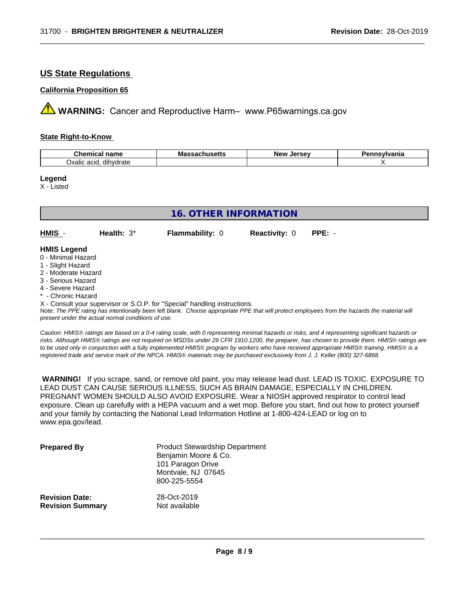# **US State Regulations**

#### **California Proposition 65**

**AVIMARNING:** Cancer and Reproductive Harm– www.P65warnings.ca.gov

#### **State Right-to-Know**

| $\sim$<br>hemical name<br>.                               | ma <sup>.</sup><br>.<br>nustus | Iarcav<br>"Ne<br>$\sim$<br>.<br>. . | vlvania |
|-----------------------------------------------------------|--------------------------------|-------------------------------------|---------|
| $\cdots$<br>20IC<br>dihvdrate<br>1120112<br>эханс<br>aciu |                                |                                     |         |

 $\overline{\phantom{a}}$  ,  $\overline{\phantom{a}}$  ,  $\overline{\phantom{a}}$  ,  $\overline{\phantom{a}}$  ,  $\overline{\phantom{a}}$  ,  $\overline{\phantom{a}}$  ,  $\overline{\phantom{a}}$  ,  $\overline{\phantom{a}}$  ,  $\overline{\phantom{a}}$  ,  $\overline{\phantom{a}}$  ,  $\overline{\phantom{a}}$  ,  $\overline{\phantom{a}}$  ,  $\overline{\phantom{a}}$  ,  $\overline{\phantom{a}}$  ,  $\overline{\phantom{a}}$  ,  $\overline{\phantom{a}}$ 

#### **Legend**

X - Listed

| 16. OTHER INFORMATION |              |                        |                      |          |  |
|-----------------------|--------------|------------------------|----------------------|----------|--|
| HMIS -                | Health: $3*$ | <b>Flammability: 0</b> | <b>Reactivity: 0</b> | $PPE: -$ |  |
| <b>HMIS Legend</b>    |              |                        |                      |          |  |
| 0 - Minimal Hazard    |              |                        |                      |          |  |
| 1 - Slight Hazard     |              |                        |                      |          |  |
| 2 - Moderate Hazard   |              |                        |                      |          |  |
| 3 - Serious Hazard    |              |                        |                      |          |  |

- 4 Severe Hazard
- Chronic Hazard

X - Consult your supervisor or S.O.P. for "Special" handling instructions.

*Note: The PPE rating has intentionally been left blank. Choose appropriate PPE that will protect employees from the hazards the material will present under the actual normal conditions of use.*

*Caution: HMISÒ ratings are based on a 0-4 rating scale, with 0 representing minimal hazards or risks, and 4 representing significant hazards or risks. Although HMISÒ ratings are not required on MSDSs under 29 CFR 1910.1200, the preparer, has chosen to provide them. HMISÒ ratings are to be used only in conjunction with a fully implemented HMISÒ program by workers who have received appropriate HMISÒ training. HMISÒ is a registered trade and service mark of the NPCA. HMISÒ materials may be purchased exclusively from J. J. Keller (800) 327-6868.*

 **WARNING!** If you scrape, sand, or remove old paint, you may release lead dust. LEAD IS TOXIC. EXPOSURE TO LEAD DUST CAN CAUSE SERIOUS ILLNESS, SUCH AS BRAIN DAMAGE, ESPECIALLY IN CHILDREN. PREGNANT WOMEN SHOULD ALSO AVOID EXPOSURE.Wear a NIOSH approved respirator to control lead exposure. Clean up carefully with a HEPA vacuum and a wet mop. Before you start, find out how to protect yourself and your family by contacting the National Lead Information Hotline at 1-800-424-LEAD or log on to www.epa.gov/lead.

| <b>Prepared By</b>      | <b>Product Stewardship Department</b><br>Benjamin Moore & Co.<br>101 Paragon Drive<br>Montvale, NJ 07645<br>800-225-5554 |
|-------------------------|--------------------------------------------------------------------------------------------------------------------------|
| <b>Revision Date:</b>   | 28-Oct-2019                                                                                                              |
| <b>Revision Summary</b> | Not available                                                                                                            |